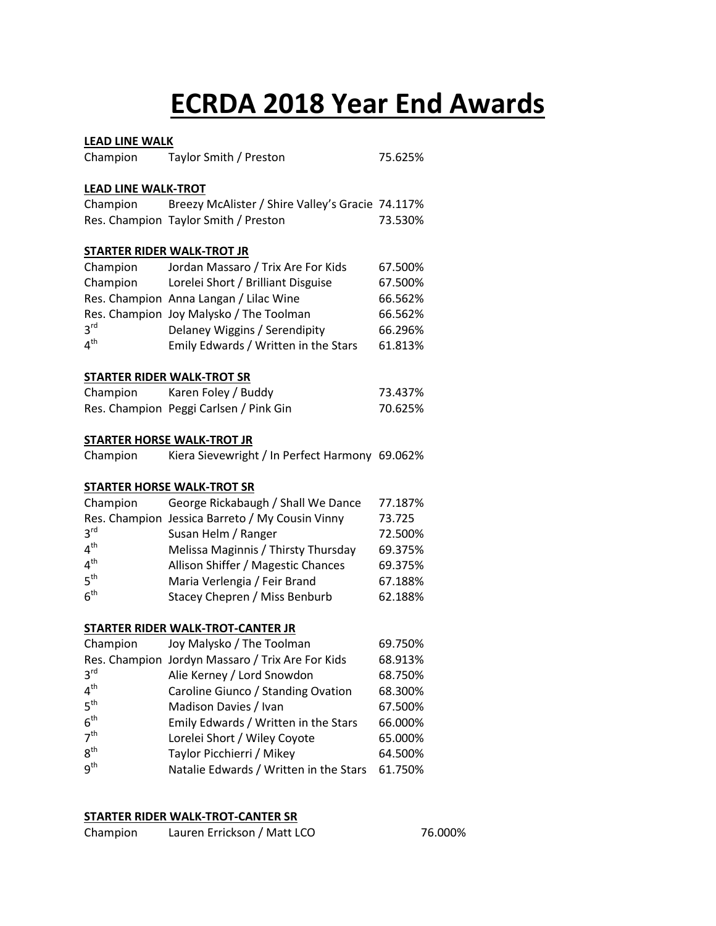# **ECRDA 2018 Year End Awards**

#### **LEAD LINE WALK**

| Champion                   | Taylor Smith / Preston                           | 75.625% |
|----------------------------|--------------------------------------------------|---------|
| <b>LEAD LINE WALK-TROT</b> |                                                  |         |
| Champion                   | Breezy McAlister / Shire Valley's Gracie 74.117% |         |
|                            | Res. Champion Taylor Smith / Preston             | 73.530% |
|                            | <b>STARTER RIDER WALK-TROT JR</b>                |         |
| Champion                   | Jordan Massaro / Trix Are For Kids               | 67.500% |
| Champion                   | Lorelei Short / Brilliant Disguise               | 67.500% |
|                            | Res. Champion Anna Langan / Lilac Wine           | 66.562% |
|                            | Res. Champion Joy Malysko / The Toolman          | 66.562% |
| 3 <sup>rd</sup>            | Delaney Wiggins / Serendipity                    | 66.296% |
| 4 <sup>th</sup>            | Emily Edwards / Written in the Stars             | 61.813% |
|                            | <b>STARTER RIDER WALK-TROT SR</b>                |         |
|                            | Champion Karen Foley / Buddy                     | 73.437% |
|                            | Res. Champion Peggi Carlsen / Pink Gin           | 70.625% |
|                            | <b>STARTER HORSE WALK-TROT JR</b>                |         |
| Champion                   | Kiera Sievewright / In Perfect Harmony 69.062%   |         |
|                            | <b>STARTER HORSE WALK-TROT SR</b>                |         |
| Champion                   | George Rickabaugh / Shall We Dance               | 77.187% |
|                            | Res. Champion Jessica Barreto / My Cousin Vinny  | 73.725  |
| 3 <sup>rd</sup>            | Susan Helm / Ranger                              | 72.500% |
| 4 <sup>th</sup>            | Melissa Maginnis / Thirsty Thursday              | 69.375% |
| 4 <sup>th</sup>            | Allison Shiffer / Magestic Chances               | 69.375% |
| 5 <sup>th</sup>            | Maria Verlengia / Feir Brand                     | 67.188% |
| 6 <sup>th</sup>            | Stacey Chepren / Miss Benburb                    | 62.188% |
|                            | <b>STARTER RIDER WALK-TROT-CANTER JR</b>         |         |
| Champion                   | Joy Malysko / The Toolman                        | 69.750% |
|                            | Res. Champion Jordyn Massaro / Trix Are For Kids | 68.913% |
| 3 <sup>rd</sup>            | Alie Kerney / Lord Snowdon                       | 68.750% |
| $\mathbf{A}^{\text{th}}$   | Carolina Giunco / Standing Ouation               | CO CONC |

| 4 <sup>th</sup> | Caroline Giunco / Standing Ovation     | 68.300% |
|-----------------|----------------------------------------|---------|
| 5 <sup>th</sup> | Madison Davies / Ivan                  | 67.500% |
| 6 <sup>th</sup> | Emily Edwards / Written in the Stars   | 66.000% |
| 7 <sup>th</sup> | Lorelei Short / Wiley Coyote           | 65.000% |
| $R^{th}$        | Taylor Picchierri / Mikey              | 64.500% |
| $q^{th}$        | Natalie Edwards / Written in the Stars | 61.750% |

#### **STARTER RIDER WALK-TROT-CANTER SR**

| Champion | Lauren Errickson / Matt LCO | 76.000% |
|----------|-----------------------------|---------|
|----------|-----------------------------|---------|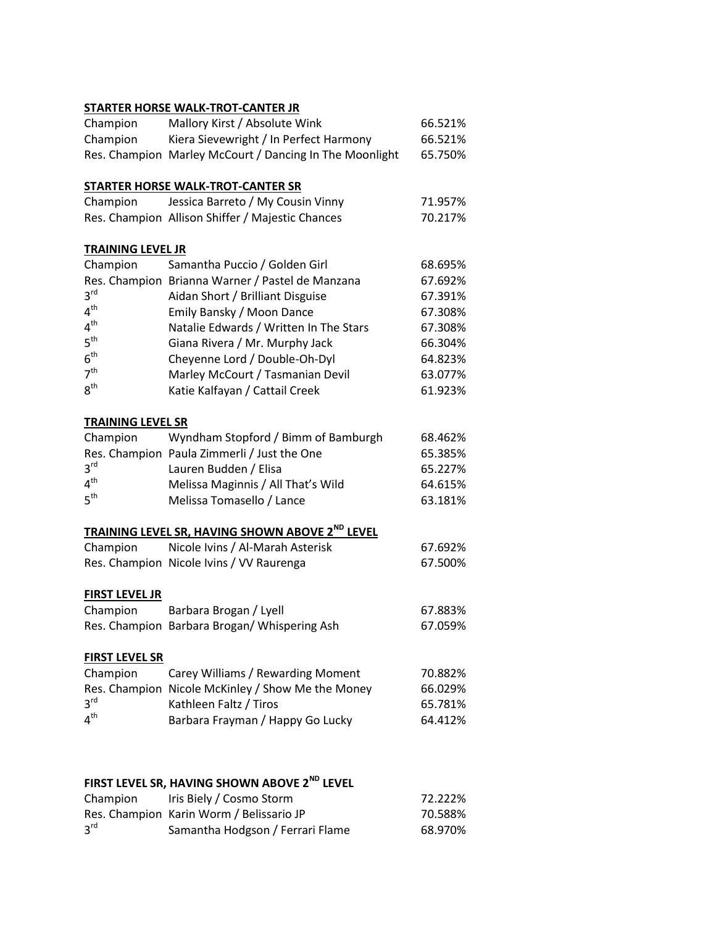#### **STARTER HORSE WALK-TROT-CANTER JR**

| Champion                           | Mallory Kirst / Absolute Wink                           | 66.521% |
|------------------------------------|---------------------------------------------------------|---------|
| Champion                           | Kiera Sievewright / In Perfect Harmony                  | 66.521% |
|                                    | Res. Champion Marley McCourt / Dancing In The Moonlight | 65.750% |
|                                    |                                                         |         |
|                                    | <b>STARTER HORSE WALK-TROT-CANTER SR</b>                |         |
| Champion                           | Jessica Barreto / My Cousin Vinny                       | 71.957% |
|                                    | Res. Champion Allison Shiffer / Majestic Chances        | 70.217% |
| <b>TRAINING LEVEL JR</b>           |                                                         |         |
| Champion                           | Samantha Puccio / Golden Girl                           | 68.695% |
|                                    | Res. Champion Brianna Warner / Pastel de Manzana        | 67.692% |
| 3 <sup>rd</sup>                    | Aidan Short / Brilliant Disguise                        | 67.391% |
| 4 <sup>th</sup>                    | Emily Bansky / Moon Dance                               | 67.308% |
| 4 <sup>th</sup>                    | Natalie Edwards / Written In The Stars                  | 67.308% |
| 5 <sup>th</sup>                    | Giana Rivera / Mr. Murphy Jack                          | 66.304% |
| 6 <sup>th</sup>                    | Cheyenne Lord / Double-Oh-Dyl                           | 64.823% |
| 7 <sup>th</sup>                    | Marley McCourt / Tasmanian Devil                        | 63.077% |
| 8 <sup>th</sup>                    | Katie Kalfayan / Cattail Creek                          | 61.923% |
|                                    |                                                         |         |
| <b>TRAINING LEVEL SR</b>           |                                                         |         |
| Champion                           | Wyndham Stopford / Bimm of Bamburgh                     | 68.462% |
|                                    | Res. Champion Paula Zimmerli / Just the One             | 65.385% |
| 3 <sup>rd</sup>                    | Lauren Budden / Elisa                                   | 65.227% |
| 4 <sup>th</sup>                    | Melissa Maginnis / All That's Wild                      | 64.615% |
| 5 <sup>th</sup>                    | Melissa Tomasello / Lance                               | 63.181% |
|                                    | TRAINING LEVEL SR, HAVING SHOWN ABOVE 2ND LEVEL         |         |
| Champion                           | Nicole Ivins / Al-Marah Asterisk                        | 67.692% |
|                                    | Res. Champion Nicole Ivins / VV Raurenga                | 67.500% |
|                                    |                                                         |         |
| <b>FIRST LEVEL JR</b>              |                                                         |         |
| Champion                           | Barbara Brogan / Lyell                                  | 67.883% |
|                                    | Res. Champion Barbara Brogan/Whispering Ash             | 67.059% |
|                                    |                                                         |         |
| <b>FIRST LEVEL SR</b>              |                                                         |         |
| Champion                           | Carey Williams / Rewarding Moment                       | 70.882% |
|                                    | Res. Champion Nicole McKinley / Show Me the Money       | 66.029% |
| 3 <sup>rd</sup><br>4 <sup>th</sup> | Kathleen Faltz / Tiros                                  | 65.781% |
|                                    | Barbara Frayman / Happy Go Lucky                        | 64.412% |
|                                    |                                                         |         |

### **FIRST LEVEL SR, HAVING SHOWN ABOVE 2ND LEVEL**

| Champion        | Iris Biely / Cosmo Storm                 | 72.222% |
|-----------------|------------------------------------------|---------|
|                 | Res. Champion Karin Worm / Belissario JP | 70.588% |
| 3 <sup>rd</sup> | Samantha Hodgson / Ferrari Flame         | 68.970% |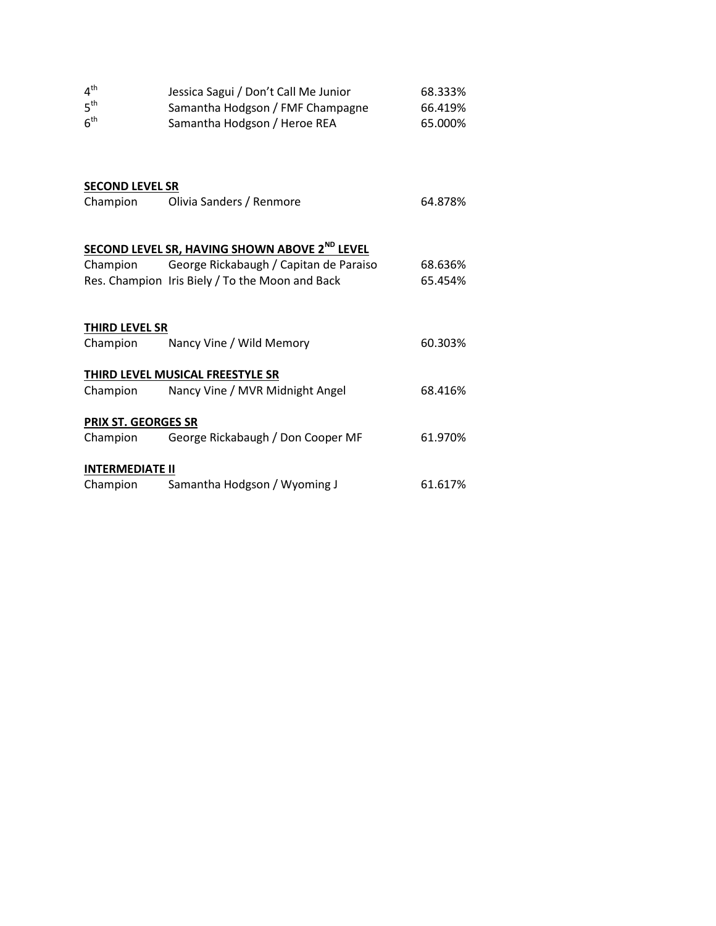| 4 <sup>th</sup><br>5 <sup>th</sup><br>6 <sup>th</sup> | Jessica Sagui / Don't Call Me Junior<br>Samantha Hodgson / FMF Champagne<br>Samantha Hodgson / Heroe REA | 68.333%<br>66.419%<br>65.000% |
|-------------------------------------------------------|----------------------------------------------------------------------------------------------------------|-------------------------------|
| <b>SECOND LEVEL SR</b>                                |                                                                                                          |                               |
| Champion                                              | Olivia Sanders / Renmore                                                                                 | 64.878%                       |
|                                                       | SECOND LEVEL SR, HAVING SHOWN ABOVE 2 <sup>ND</sup> LEVEL                                                |                               |
| Champion                                              | George Rickabaugh / Capitan de Paraiso                                                                   | 68.636%                       |
|                                                       | Res. Champion Iris Biely / To the Moon and Back                                                          | 65.454%                       |
| <b>THIRD LEVEL SR</b>                                 |                                                                                                          |                               |
| Champion                                              | Nancy Vine / Wild Memory                                                                                 | 60.303%                       |
|                                                       | THIRD LEVEL MUSICAL FREESTYLE SR                                                                         |                               |
| Champion                                              | Nancy Vine / MVR Midnight Angel                                                                          | 68.416%                       |
| PRIX ST. GEORGES SR                                   |                                                                                                          |                               |
| Champion                                              | George Rickabaugh / Don Cooper MF                                                                        | 61.970%                       |
| <b>INTERMEDIATE II</b>                                |                                                                                                          |                               |
| Champion                                              | Samantha Hodgson / Wyoming J                                                                             | 61.617%                       |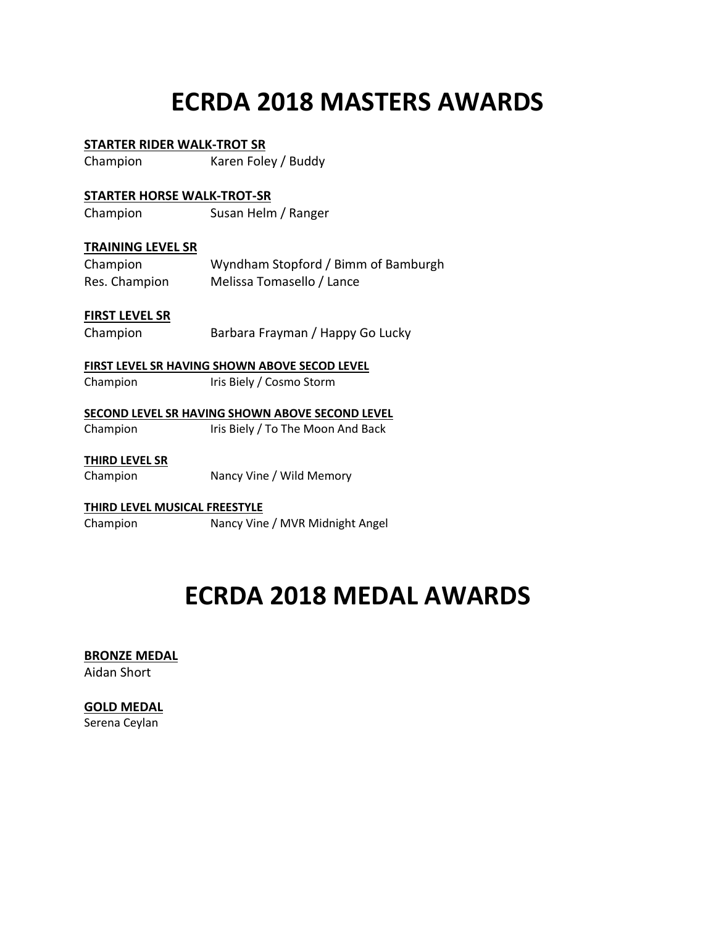# **ECRDA 2018 MASTERS AWARDS**

#### **STARTER RIDER WALK-TROT SR**

Champion Karen Foley / Buddy

#### **STARTER HORSE WALK-TROT-SR**

Champion Susan Helm / Ranger

#### **TRAINING LEVEL SR**

| Champion      | Wyndham Stopford / Bimm of Bamburgh |
|---------------|-------------------------------------|
| Res. Champion | Melissa Tomasello / Lance           |

#### **FIRST LEVEL SR**

Champion Barbara Frayman / Happy Go Lucky

#### **FIRST LEVEL SR HAVING SHOWN ABOVE SECOD LEVEL**

Champion Iris Biely / Cosmo Storm

#### **SECOND LEVEL SR HAVING SHOWN ABOVE SECOND LEVEL**

Champion Iris Biely / To The Moon And Back

#### **THIRD LEVEL SR**

Champion Nancy Vine / Wild Memory

#### **THIRD LEVEL MUSICAL FREESTYLE**

Champion Nancy Vine / MVR Midnight Angel

### **ECRDA 2018 MEDAL AWARDS**

#### **BRONZE MEDAL**

Aidan Short

#### **GOLD MEDAL**

Serena Ceylan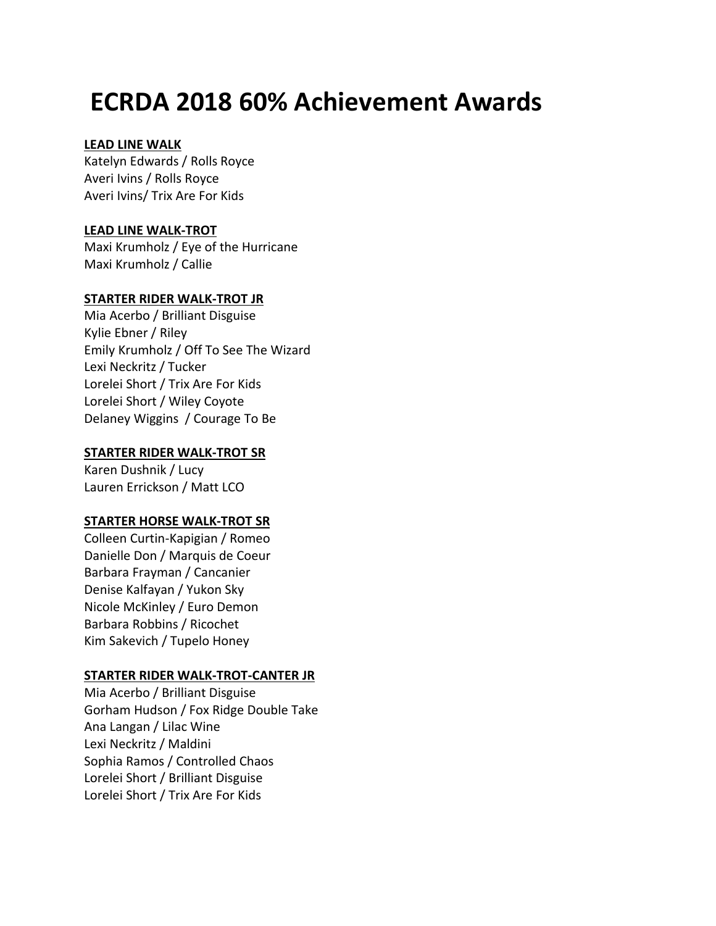## **ECRDA 2018 60% Achievement Awards**

#### **LEAD LINE WALK**

Katelyn Edwards / Rolls Royce Averi Ivins / Rolls Royce Averi Ivins/ Trix Are For Kids

#### **LEAD LINE WALK-TROT**

Maxi Krumholz / Eye of the Hurricane Maxi Krumholz / Callie

#### **STARTER RIDER WALK-TROT JR**

Mia Acerbo / Brilliant Disguise Kylie Ebner / Riley Emily Krumholz / Off To See The Wizard Lexi Neckritz / Tucker Lorelei Short / Trix Are For Kids Lorelei Short / Wiley Coyote Delaney Wiggins / Courage To Be

#### **STARTER RIDER WALK-TROT SR**

Karen Dushnik / Lucy Lauren Errickson / Matt LCO

#### **STARTER HORSE WALK-TROT SR**

Colleen Curtin-Kapigian / Romeo Danielle Don / Marquis de Coeur Barbara Frayman / Cancanier Denise Kalfayan / Yukon Sky Nicole McKinley / Euro Demon Barbara Robbins / Ricochet Kim Sakevich / Tupelo Honey

#### **STARTER RIDER WALK-TROT-CANTER JR**

Mia Acerbo / Brilliant Disguise Gorham Hudson / Fox Ridge Double Take Ana Langan / Lilac Wine Lexi Neckritz / Maldini Sophia Ramos / Controlled Chaos Lorelei Short / Brilliant Disguise Lorelei Short / Trix Are For Kids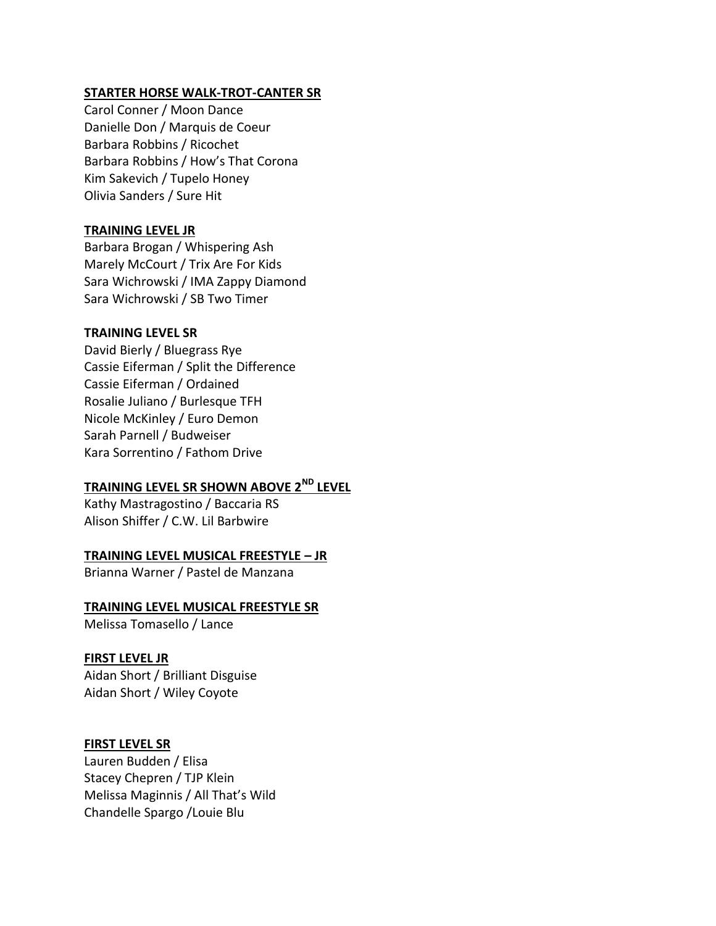#### **STARTER HORSE WALK-TROT-CANTER SR**

Carol Conner / Moon Dance Danielle Don / Marquis de Coeur Barbara Robbins / Ricochet Barbara Robbins / How's That Corona Kim Sakevich / Tupelo Honey Olivia Sanders / Sure Hit

#### **TRAINING LEVEL JR**

Barbara Brogan / Whispering Ash Marely McCourt / Trix Are For Kids Sara Wichrowski / IMA Zappy Diamond Sara Wichrowski / SB Two Timer

#### **TRAINING LEVEL SR**

David Bierly / Bluegrass Rye Cassie Eiferman / Split the Difference Cassie Eiferman / Ordained Rosalie Juliano / Burlesque TFH Nicole McKinley / Euro Demon Sarah Parnell / Budweiser Kara Sorrentino / Fathom Drive

### **TRAINING LEVEL SR SHOWN ABOVE 2ND LEVEL**

Kathy Mastragostino / Baccaria RS Alison Shiffer / C.W. Lil Barbwire

#### **TRAINING LEVEL MUSICAL FREESTYLE – JR**

Brianna Warner / Pastel de Manzana

#### **TRAINING LEVEL MUSICAL FREESTYLE SR**

Melissa Tomasello / Lance

#### **FIRST LEVEL JR**

Aidan Short / Brilliant Disguise Aidan Short / Wiley Coyote

#### **FIRST LEVEL SR**

Lauren Budden / Elisa Stacey Chepren / TJP Klein Melissa Maginnis / All That's Wild Chandelle Spargo /Louie Blu